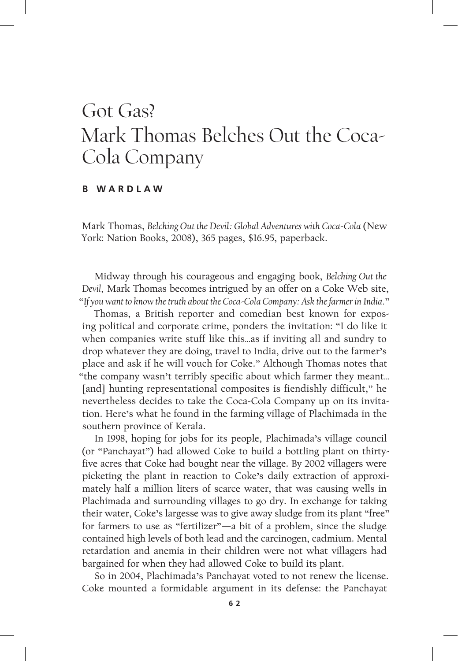## Got Gas? Mark Thomas Belches Out the Coca-Cola Company

## **B W A R D L A W**

Mark Thomas, *Belching Out the Devil: Global Adventures with Coca-Cola* (New York: Nation Books, 2008), 365 pages, \$16.95, paperback.

Midway through his courageous and engaging book, *Belching Out the Devil,* Mark Thomas becomes intrigued by an offer on a Coke Web site, "*If youwant to knowthetruth about the Coca-Cola Company: Ask thefarmerin India.*"

Thomas, a British reporter and comedian best known for exposing political and corporate crime, ponders the invitation: "I do like it when companies write stuff like this…as if inviting all and sundry to drop whatever they are doing, travel to India, drive out to the farmer's place and ask if he will vouch for Coke." Although Thomas notes that "the company wasn't terribly specific about which farmer they meant… [and] hunting representational composites is fiendishly difficult," he nevertheless decides to take the Coca-Cola Company up on its invitation. Here's what he found in the farming village of Plachimada in the southern province of Kerala.

In 1998, hoping for jobs for its people, Plachimada's village council (or "Panchayat") had allowed Coke to build a bottling plant on thirtyfive acres that Coke had bought near the village. By 2002 villagers were picketing the plant in reaction to Coke's daily extraction of approximately half a million liters of scarce water, that was causing wells in Plachimada and surrounding villages to go dry. In exchange for taking their water, Coke's largesse was to give away sludge from its plant "free" for farmers to use as "fertilizer"—a bit of a problem, since the sludge contained high levels of both lead and the carcinogen, cadmium. Mental retardation and anemia in their children were not what villagers had bargained for when they had allowed Coke to build its plant.

So in 2004, Plachimada's Panchayat voted to not renew the license. Coke mounted a formidable argument in its defense: the Panchayat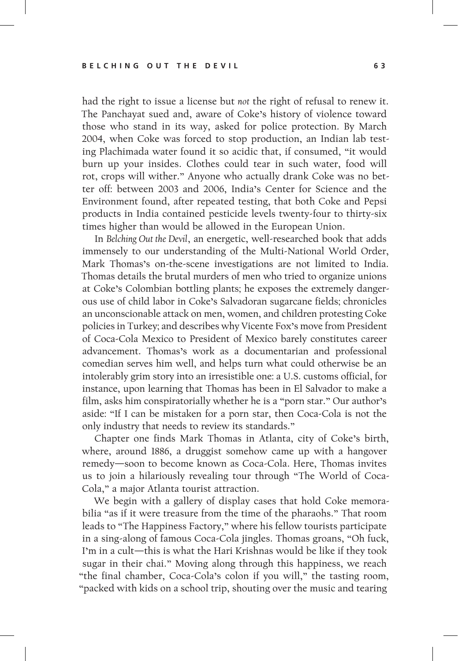had the right to issue a license but *not* the right of refusal to renew it. The Panchayat sued and, aware of Coke's history of violence toward those who stand in its way, asked for police protection. By March 2004, when Coke was forced to stop production, an Indian lab testing Plachimada water found it so acidic that, if consumed, "it would burn up your insides. Clothes could tear in such water, food will rot, crops will wither." Anyone who actually drank Coke was no better off: between 2003 and 2006, India's Center for Science and the Environment found, after repeated testing, that both Coke and Pepsi products in India contained pesticide levels twenty-four to thirty-six times higher than would be allowed in the European Union.

In *Belching Out the Devil*, an energetic, well-researched book that adds immensely to our understanding of the Multi-National World Order, Mark Thomas's on-the-scene investigations are not limited to India. Thomas details the brutal murders of men who tried to organize unions at Coke's Colombian bottling plants; he exposes the extremely dangerous use of child labor in Coke's Salvadoran sugarcane fields; chronicles an unconscionable attack on men, women, and children protesting Coke policies in Turkey; and describes why Vicente Fox's move from President of Coca-Cola Mexico to President of Mexico barely constitutes career advancement. Thomas's work as a documentarian and professional comedian serves him well, and helps turn what could otherwise be an intolerably grim story into an irresistible one: a U.S. customs official, for instance, upon learning that Thomas has been in El Salvador to make a film, asks him conspiratorially whether he is a "porn star." Our author's aside: "If I can be mistaken for a porn star, then Coca-Cola is not the only industry that needs to review its standards."

Chapter one finds Mark Thomas in Atlanta, city of Coke's birth, where, around 1886, a druggist somehow came up with a hangover remedy—soon to become known as Coca-Cola. Here, Thomas invites us to join a hilariously revealing tour through "The World of Coca-Cola," a major Atlanta tourist attraction.

We begin with a gallery of display cases that hold Coke memorabilia "as if it were treasure from the time of the pharaohs." That room leads to "The Happiness Factory," where his fellow tourists participate in a sing-along of famous Coca-Cola jingles. Thomas groans, "Oh fuck, I'm in a cult—this is what the Hari Krishnas would be like if they took sugar in their chai." Moving along through this happiness, we reach "the final chamber, Coca-Cola's colon if you will," the tasting room, "packed with kids on a school trip, shouting over the music and tearing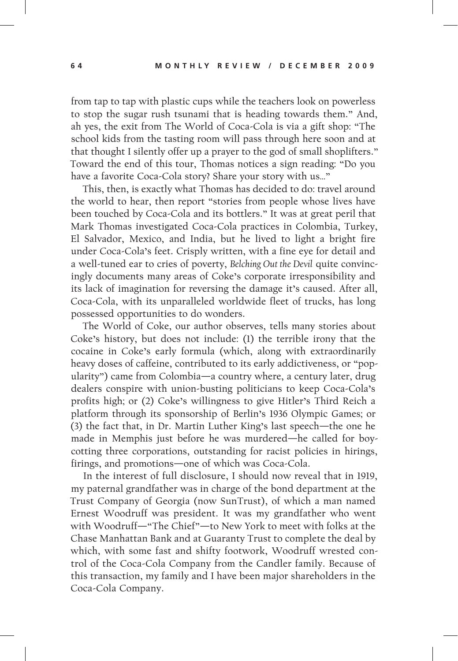from tap to tap with plastic cups while the teachers look on powerless to stop the sugar rush tsunami that is heading towards them." And, ah yes, the exit from The World of Coca-Cola is via a gift shop: "The school kids from the tasting room will pass through here soon and at that thought I silently offer up a prayer to the god of small shoplifters." Toward the end of this tour, Thomas notices a sign reading: "Do you have a favorite Coca-Cola story? Share your story with us…"

This, then, is exactly what Thomas has decided to do: travel around the world to hear, then report "stories from people whose lives have been touched by Coca-Cola and its bottlers." It was at great peril that Mark Thomas investigated Coca-Cola practices in Colombia, Turkey, El Salvador, Mexico, and India, but he lived to light a bright fire under Coca-Cola's feet. Crisply written, with a fine eye for detail and a well-tuned ear to cries of poverty, *Belching Out the Devil* quite convincingly documents many areas of Coke's corporate irresponsibility and its lack of imagination for reversing the damage it's caused. After all, Coca-Cola, with its unparalleled worldwide fleet of trucks, has long possessed opportunities to do wonders.

The World of Coke, our author observes, tells many stories about Coke's history, but does not include: (1) the terrible irony that the cocaine in Coke's early formula (which, along with extraordinarily heavy doses of caffeine, contributed to its early addictiveness, or "popularity") came from Colombia—a country where, a century later, drug dealers conspire with union-busting politicians to keep Coca-Cola's profits high; or (2) Coke's willingness to give Hitler's Third Reich a platform through its sponsorship of Berlin's 1936 Olympic Games; or (3) the fact that, in Dr. Martin Luther King's last speech—the one he made in Memphis just before he was murdered—he called for boycotting three corporations, outstanding for racist policies in hirings, firings, and promotions—one of which was Coca-Cola.

In the interest of full disclosure, I should now reveal that in 1919, my paternal grandfather was in charge of the bond department at the Trust Company of Georgia (now SunTrust), of which a man named Ernest Woodruff was president. It was my grandfather who went with Woodruff—"The Chief"—to New York to meet with folks at the Chase Manhattan Bank and at Guaranty Trust to complete the deal by which, with some fast and shifty footwork, Woodruff wrested control of the Coca-Cola Company from the Candler family. Because of this transaction, my family and I have been major shareholders in the Coca-Cola Company.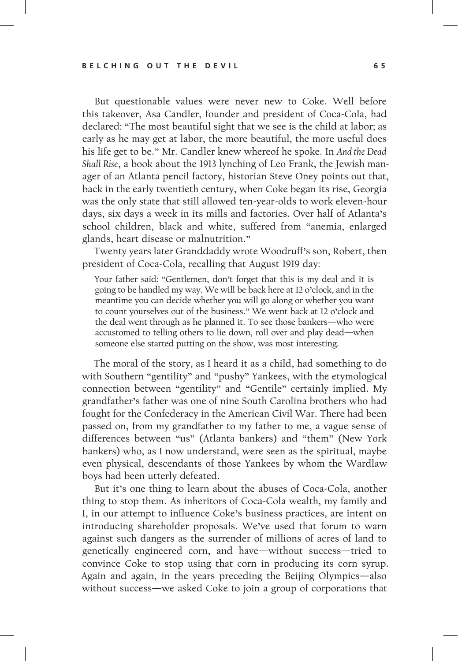But questionable values were never new to Coke. Well before this takeover, Asa Candler, founder and president of Coca-Cola, had declared: "The most beautiful sight that we see is the child at labor; as early as he may get at labor, the more beautiful, the more useful does his life get to be." Mr. Candler knew whereof he spoke. In *And the Dead Shall Rise*, a book about the 1913 lynching of Leo Frank, the Jewish manager of an Atlanta pencil factory, historian Steve Oney points out that, back in the early twentieth century, when Coke began its rise, Georgia was the only state that still allowed ten-year-olds to work eleven-hour days, six days a week in its mills and factories. Over half of Atlanta's school children, black and white, suffered from "anemia, enlarged glands, heart disease or malnutrition."

Twenty years later Granddaddy wrote Woodruff's son, Robert, then president of Coca-Cola, recalling that August 1919 day:

Your father said: "Gentlemen, don't forget that this is my deal and it is going to be handled my way. We will be back here at 12 o'clock, and in the meantime you can decide whether you will go along or whether you want to count yourselves out of the business." We went back at 12 o'clock and the deal went through as he planned it. To see those bankers—who were accustomed to telling others to lie down, roll over and play dead—when someone else started putting on the show, was most interesting.

The moral of the story, as I heard it as a child, had something to do with Southern "gentility" and "pushy" Yankees, with the etymological connection between "gentility" and "Gentile" certainly implied. My grandfather's father was one of nine South Carolina brothers who had fought for the Confederacy in the American Civil War. There had been passed on, from my grandfather to my father to me, a vague sense of differences between "us" (Atlanta bankers) and "them" (New York bankers) who, as I now understand, were seen as the spiritual, maybe even physical, descendants of those Yankees by whom the Wardlaw boys had been utterly defeated.

But it's one thing to learn about the abuses of Coca-Cola, another thing to stop them. As inheritors of Coca-Cola wealth, my family and I, in our attempt to influence Coke's business practices, are intent on introducing shareholder proposals. We've used that forum to warn against such dangers as the surrender of millions of acres of land to genetically engineered corn, and have—without success—tried to convince Coke to stop using that corn in producing its corn syrup. Again and again, in the years preceding the Beijing Olympics—also without success—we asked Coke to join a group of corporations that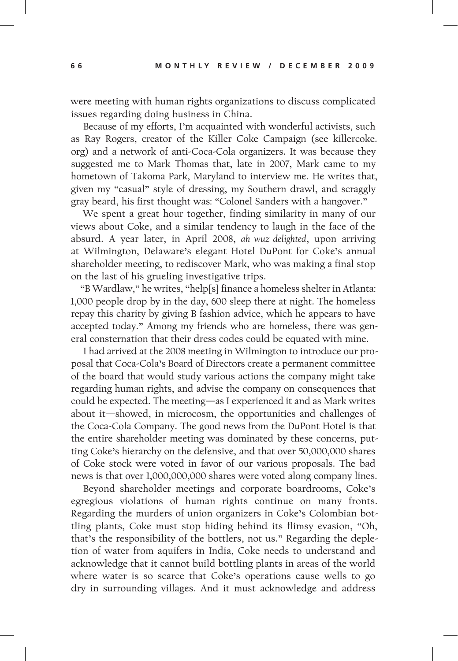were meeting with human rights organizations to discuss complicated issues regarding doing business in China.

Because of my efforts, I'm acquainted with wonderful activists, such as Ray Rogers, creator of the Killer Coke Campaign (see killercoke. org) and a network of anti-Coca-Cola organizers. It was because they suggested me to Mark Thomas that, late in 2007, Mark came to my hometown of Takoma Park, Maryland to interview me. He writes that, given my "casual" style of dressing, my Southern drawl, and scraggly gray beard, his first thought was: "Colonel Sanders with a hangover."

We spent a great hour together, finding similarity in many of our views about Coke, and a similar tendency to laugh in the face of the absurd. A year later, in April 2008, *ah wuz delighted*, upon arriving at Wilmington, Delaware's elegant Hotel DuPont for Coke's annual shareholder meeting, to rediscover Mark, who was making a final stop on the last of his grueling investigative trips.

"B Wardlaw," he writes, "help[s] finance a homeless shelter in Atlanta: 1,000 people drop by in the day, 600 sleep there at night. The homeless repay this charity by giving B fashion advice, which he appears to have accepted today." Among my friends who are homeless, there was general consternation that their dress codes could be equated with mine.

I had arrived at the 2008 meeting in Wilmington to introduce our proposal that Coca-Cola's Board of Directors create a permanent committee of the board that would study various actions the company might take regarding human rights, and advise the company on consequences that could be expected. The meeting—as I experienced it and as Mark writes about it—showed, in microcosm, the opportunities and challenges of the Coca-Cola Company. The good news from the DuPont Hotel is that the entire shareholder meeting was dominated by these concerns, putting Coke's hierarchy on the defensive, and that over 50,000,000 shares of Coke stock were voted in favor of our various proposals. The bad news is that over 1,000,000,000 shares were voted along company lines.

Beyond shareholder meetings and corporate boardrooms, Coke's egregious violations of human rights continue on many fronts. Regarding the murders of union organizers in Coke's Colombian bottling plants, Coke must stop hiding behind its flimsy evasion, "Oh, that's the responsibility of the bottlers, not us." Regarding the depletion of water from aquifers in India, Coke needs to understand and acknowledge that it cannot build bottling plants in areas of the world where water is so scarce that Coke's operations cause wells to go dry in surrounding villages. And it must acknowledge and address